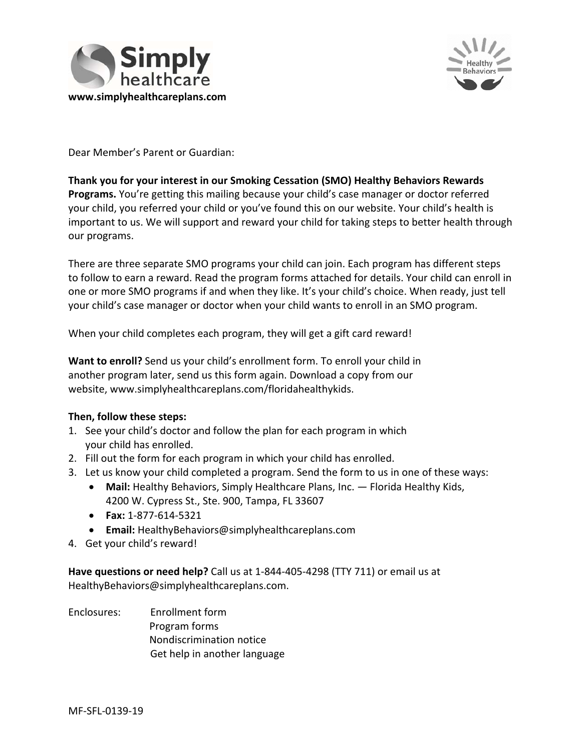



Dear Member's Parent or Guardian:

# **Thank you for your interest in our Smoking Cessation (SMO) Healthy Behaviors Rewards Programs.** You're getting this mailing because your child's case manager or doctor referred your child, you referred your child or you've found this on our website. Your child's health is important to us. We will support and reward your child for taking steps to better health through our programs.

There are three separate SMO programs your child can join. Each program has different steps to follow to earn a reward. Read the program forms attached for details. Your child can enroll in one or more SMO programs if and when they like. It's your child's choice. When ready, just tell your child's case manager or doctor when your child wants to enroll in an SMO program.

When your child completes each program, they will get a gift card reward!

**Want to enroll?** Send us your child's enrollment form. To enroll your child in another program later, send us this form again. Download a copy from our website, [www.simplyhealthcareplans.com/floridahealthykids](http://www.simplyhealthcareplans.com/floridahealthykids).

### **Then, follow these steps:**

- 1. See your child's doctor and follow the plan for each program in which your child has enrolled.
- 2. Fill out the form for each program in which your child has enrolled.
- 3. Let us know your child completed a program. Send the form to us in one of these ways:
	- **Mail:** Healthy Behaviors, Simply Healthcare Plans, Inc. Florida Healthy Kids, 4200 W. Cypress St., Ste. 900, Tampa, FL 33607
	- **Fax:** 1‐877‐614‐5321
	- **Email:** [HealthyBehaviors@simplyhealthcareplans.com](mailto:HealthyBehaviors@simplyhealthcareplans.com)
- 4. Get your child's reward!

**Have questions or need help?** Call us at 1‐844‐405‐4298 (TTY 711) or email us at [HealthyBehaviors@simplyhealthcareplans.com.](mailto:HealthyBehaviors@simplyhealthcareplans.com)

Enclosures: Enrollment form Program forms Nondiscrimination notice Get help in another language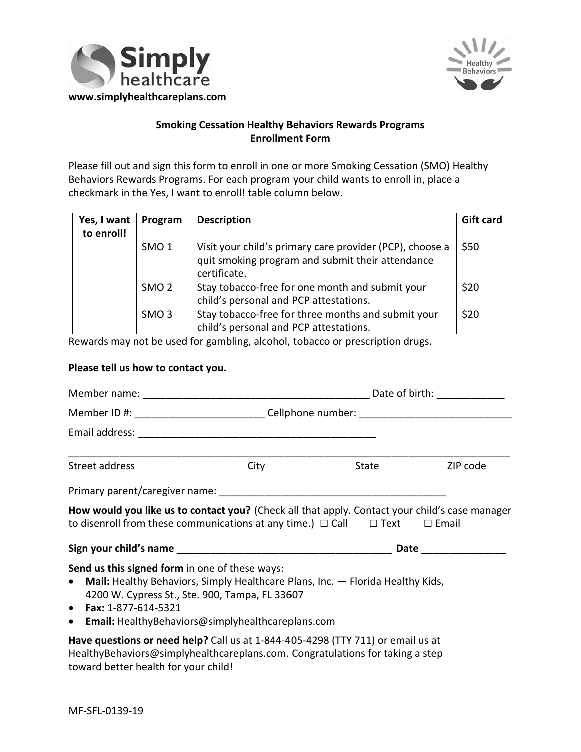



# **Smoking Cessation Healthy Behaviors Rewards Programs Enrollment Form**

Please fill out and sign this form to enroll in one or more Smoking Cessation (SMO) Healthy Behaviors Rewards Programs. For each program your child wants to enroll in, place a checkmark in the Yes, I want to enroll! table column below.

| Yes, I want | Program          | <b>Description</b>                                       | <b>Gift card</b> |
|-------------|------------------|----------------------------------------------------------|------------------|
| to enroll!  |                  |                                                          |                  |
|             | SMO <sub>1</sub> | Visit your child's primary care provider (PCP), choose a | \$50             |
|             |                  | quit smoking program and submit their attendance         |                  |
|             |                  | certificate.                                             |                  |
|             | SMO <sub>2</sub> | Stay tobacco-free for one month and submit your          | \$20             |
|             |                  | child's personal and PCP attestations.                   |                  |
|             | SMO <sub>3</sub> | Stay tobacco-free for three months and submit your       | \$20             |
|             |                  | child's personal and PCP attestations.                   |                  |

Rewards may not be used for gambling, alcohol, tobacco or prescription drugs.

### **Please tell us how to contact you.**

|                                                                                                                                                                                                                                                                        |      | Member ID #: ___________________________Cellphone number: _______________________ |                        |
|------------------------------------------------------------------------------------------------------------------------------------------------------------------------------------------------------------------------------------------------------------------------|------|-----------------------------------------------------------------------------------|------------------------|
|                                                                                                                                                                                                                                                                        |      |                                                                                   |                        |
| Street address                                                                                                                                                                                                                                                         | City | State                                                                             | ZIP code               |
|                                                                                                                                                                                                                                                                        |      |                                                                                   |                        |
| How would you like us to contact you? (Check all that apply. Contact your child's case manager<br>to disenroll from these communications at any time.) $\Box$ Call $\Box$ Text $\Box$ Email                                                                            |      |                                                                                   |                        |
|                                                                                                                                                                                                                                                                        |      |                                                                                   | Date _________________ |
| Send us this signed form in one of these ways:<br>• Mail: Healthy Behaviors, Simply Healthcare Plans, Inc. - Florida Healthy Kids,<br>4200 W. Cypress St., Ste. 900, Tampa, FL 33607<br>• Fax: $1-877-614-5321$<br>• Email: HealthyBehaviors@simplyhealthcareplans.com |      |                                                                                   |                        |
| Have questions or need help? Call us at 1-844-405-4298 (TTY 711) or email us at<br>Hoalthy Pohaviors @simplyhoalthsaronlans.com Congratulations for taking a stop                                                                                                      |      |                                                                                   |                        |

[HealthyBehaviors@simplyhealthcareplans.com.](mailto:HealthyBehaviors@simplyhealthcareplans.com) Congratulations for taking a step toward better health for your child!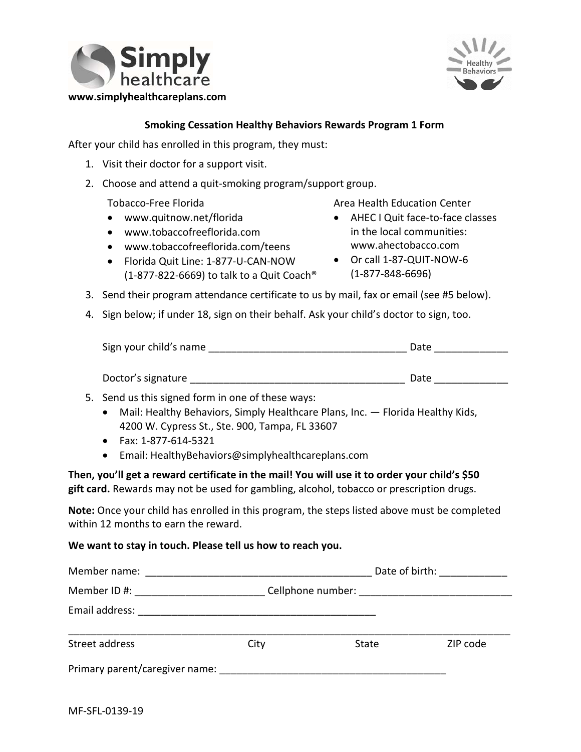



## **Smoking Cessation Healthy Behaviors Rewards Program 1 Form**

After your child has enrolled in this program, they must:

- 1. Visit their doctor for a support visit.
- 2. Choose and attend a quit-smoking program/support group.

- 
- [www.tobaccofreeflorida.com](http://www.tobaccofreeflorida.com) in the local communities:
- [www.tobaccofreeflorida.com/teens](http://www.tobaccofreeflorida.com/teens) [www.ahectobacco.com](http://www.ahectobacco.com)
- Florida Quit Line: 1-877-U-CAN-NOW (1‐877‐822‐6669) to talk to a Quit Coach® (1‐877‐848‐6696)
- Tobacco-Free Florida 
Tobacco Area Health Education Center
- [www.quitnow.net/florida](http://www.quitnow.net/florida) AHEC I Quit face‐to‐face classes
	- Or call 1-87-QUIT-NOW-6
- 3. Send their program attendance certificate to us by mail, fax or email (see #5 below).
- 4. Sign below; if under 18, sign on their behalf. Ask your child's doctor to sign, too.

| Sign your child's name | Date |  |
|------------------------|------|--|
|                        |      |  |
|                        |      |  |

Doctor's signature example and the set of the set of the set of the set of the set of the set of the set of th

- 5. Send us this signed form in one of these ways:
	- Mail: Healthy Behaviors, Simply Healthcare Plans, Inc. Florida Healthy Kids, 4200 W. Cypress St., Ste. 900, Tampa, FL 33607
	- Fax: 1‐877‐614‐5321
	- Email: [HealthyBehaviors@simplyhealthcareplans.com](mailto:HealthyBehaviors@simplyhealthcareplans.com)

**Then, you'll get a reward certificate in the mail! You will use it to order your child's \$50 gift card.** Rewards may not be used for gambling, alcohol, tobacco or prescription drugs.

**Note:** Once your child has enrolled in this program, the steps listed above must be completed within 12 months to earn the reward.

#### **We want to stay in touch. Please tell us how to reach you.**

|                                                                                                                                                                                                                               |      |              | Date of birth: _____________ |  |
|-------------------------------------------------------------------------------------------------------------------------------------------------------------------------------------------------------------------------------|------|--------------|------------------------------|--|
| Member ID #: _______________                                                                                                                                                                                                  |      |              |                              |  |
| Email address:                                                                                                                                                                                                                |      |              |                              |  |
| Street address                                                                                                                                                                                                                | City | <b>State</b> | ZIP code                     |  |
| Primary parent/caregiver name: example and the state of the state of the state of the state of the state of the state of the state of the state of the state of the state of the state of the state of the state of the state |      |              |                              |  |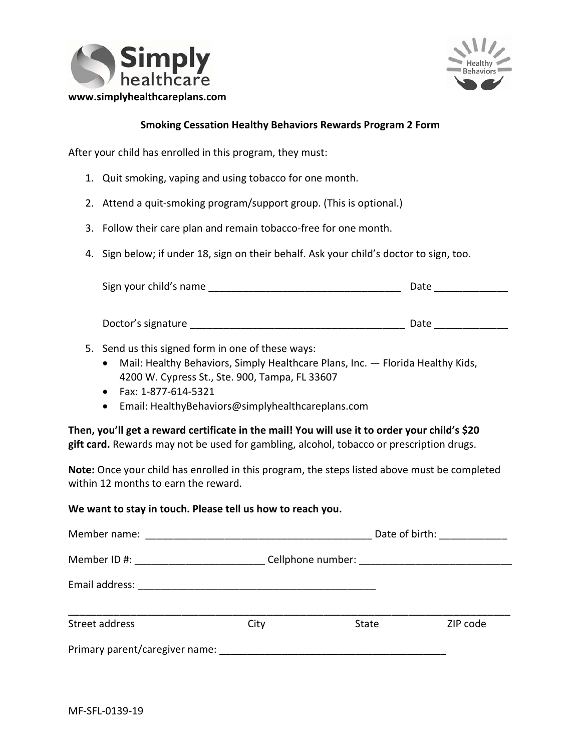



## **Smoking Cessation Healthy Behaviors Rewards Program 2 Form**

After your child has enrolled in this program, they must:

- 1. Quit smoking, vaping and using tobacco for one month.
- 2. Attend a quit-smoking program/support group. (This is optional.)
- 3. Follow their care plan and remain tobacco-free for one month.
- 4. Sign below; if under 18, sign on their behalf. Ask your child's doctor to sign, too.

| Sign your child's name |  | Date |
|------------------------|--|------|
|------------------------|--|------|

| Doctor's signature | Date |
|--------------------|------|
|--------------------|------|

- 5. Send us this signed form in one of these ways:
	- Mail: Healthy Behaviors, Simply Healthcare Plans, Inc. Florida Healthy Kids, 4200 W. Cypress St., Ste. 900, Tampa, FL 33607
	- Fax: 1‐877‐614‐5321
	- Email: [HealthyBehaviors@simplyhealthcareplans.com](mailto:HealthyBehaviors@simplyhealthcareplans.com)

**Then, you'll get a reward certificate in the mail! You will use it to order your child's \$20 gift card.** Rewards may not be used for gambling, alcohol, tobacco or prescription drugs.

**Note:** Once your child has enrolled in this program, the steps listed above must be completed within 12 months to earn the reward.

#### **We want to stay in touch. Please tell us how to reach you.**

|                                                                                                                                                                                                                               | Date of birth: <u>___________</u> ___                                                                                |       |          |
|-------------------------------------------------------------------------------------------------------------------------------------------------------------------------------------------------------------------------------|----------------------------------------------------------------------------------------------------------------------|-------|----------|
| Member ID #: ___________________                                                                                                                                                                                              |                                                                                                                      |       |          |
| Email address:                                                                                                                                                                                                                | <u> 1990 - Jan James James James James James James James James James James James James James James James James J</u> |       |          |
| Street address                                                                                                                                                                                                                | City                                                                                                                 | State | ZIP code |
| Primary parent/caregiver name: example and the state of the state of the state of the state of the state of the state of the state of the state of the state of the state of the state of the state of the state of the state |                                                                                                                      |       |          |